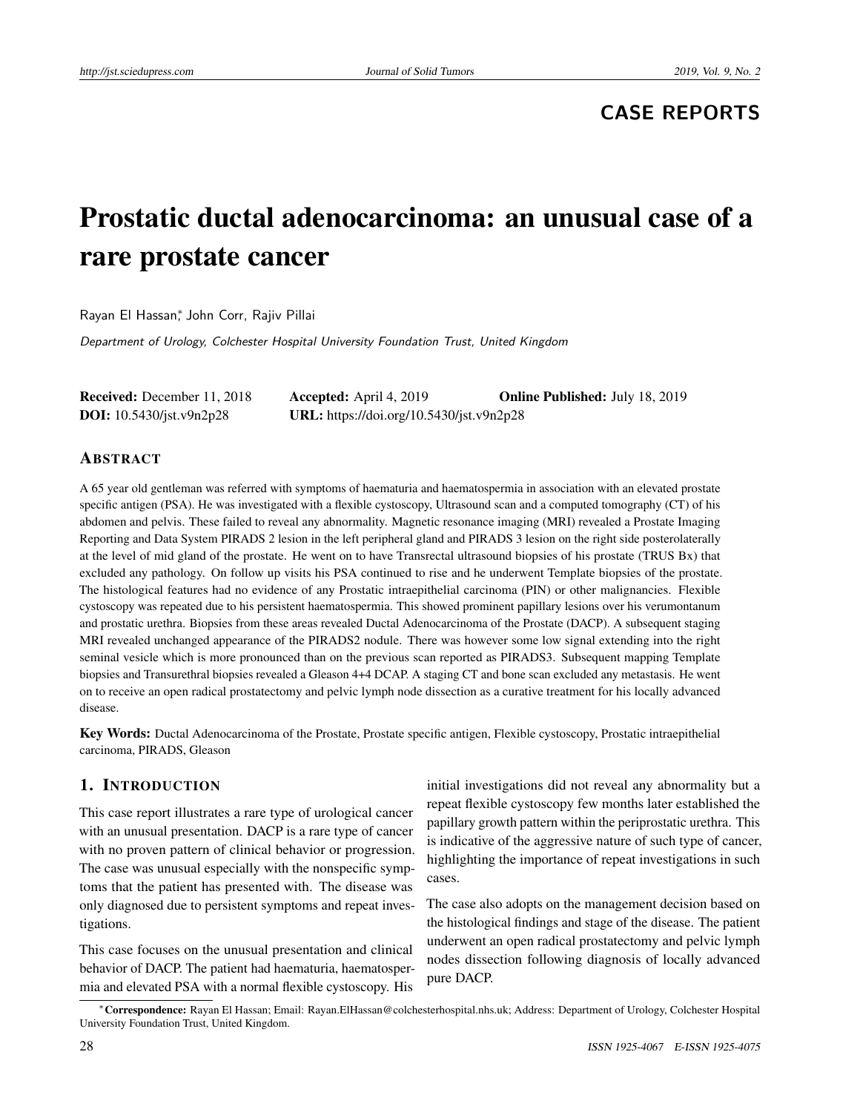# **CASE REPORTS**

# Prostatic ductal adenocarcinoma: an unusual case of a rare prostate cancer

Rayan El Hassan<sup>∗</sup> , John Corr, Rajiv Pillai

Department of Urology, Colchester Hospital University Foundation Trust, United Kingdom

| <b>Received:</b> December 11, 2018 | <b>Accepted:</b> April 4, 2019           | <b>Online Published:</b> July 18, 2019 |
|------------------------------------|------------------------------------------|----------------------------------------|
| <b>DOI:</b> $10.5430/jst.v9n2p28$  | URL: https://doi.org/10.5430/jst.v9n2p28 |                                        |

#### ABSTRACT

A 65 year old gentleman was referred with symptoms of haematuria and haematospermia in association with an elevated prostate specific antigen (PSA). He was investigated with a flexible cystoscopy, Ultrasound scan and a computed tomography (CT) of his abdomen and pelvis. These failed to reveal any abnormality. Magnetic resonance imaging (MRI) revealed a Prostate Imaging Reporting and Data System PIRADS 2 lesion in the left peripheral gland and PIRADS 3 lesion on the right side posterolaterally at the level of mid gland of the prostate. He went on to have Transrectal ultrasound biopsies of his prostate (TRUS Bx) that excluded any pathology. On follow up visits his PSA continued to rise and he underwent Template biopsies of the prostate. The histological features had no evidence of any Prostatic intraepithelial carcinoma (PIN) or other malignancies. Flexible cystoscopy was repeated due to his persistent haematospermia. This showed prominent papillary lesions over his verumontanum and prostatic urethra. Biopsies from these areas revealed Ductal Adenocarcinoma of the Prostate (DACP). A subsequent staging MRI revealed unchanged appearance of the PIRADS2 nodule. There was however some low signal extending into the right seminal vesicle which is more pronounced than on the previous scan reported as PIRADS3. Subsequent mapping Template biopsies and Transurethral biopsies revealed a Gleason 4+4 DCAP. A staging CT and bone scan excluded any metastasis. He went on to receive an open radical prostatectomy and pelvic lymph node dissection as a curative treatment for his locally advanced disease.

Key Words: Ductal Adenocarcinoma of the Prostate, Prostate specific antigen, Flexible cystoscopy, Prostatic intraepithelial carcinoma, PIRADS, Gleason

# 1. INTRODUCTION

This case report illustrates a rare type of urological cancer with an unusual presentation. DACP is a rare type of cancer with no proven pattern of clinical behavior or progression. The case was unusual especially with the nonspecific symptoms that the patient has presented with. The disease was only diagnosed due to persistent symptoms and repeat investigations.

This case focuses on the unusual presentation and clinical behavior of DACP. The patient had haematuria, haematospermia and elevated PSA with a normal flexible cystoscopy. His

initial investigations did not reveal any abnormality but a repeat flexible cystoscopy few months later established the papillary growth pattern within the periprostatic urethra. This is indicative of the aggressive nature of such type of cancer, highlighting the importance of repeat investigations in such cases.

The case also adopts on the management decision based on the histological findings and stage of the disease. The patient underwent an open radical prostatectomy and pelvic lymph nodes dissection following diagnosis of locally advanced pure DACP.

<sup>∗</sup>Correspondence: Rayan El Hassan; Email: Rayan.ElHassan@colchesterhospital.nhs.uk; Address: Department of Urology, Colchester Hospital University Foundation Trust, United Kingdom.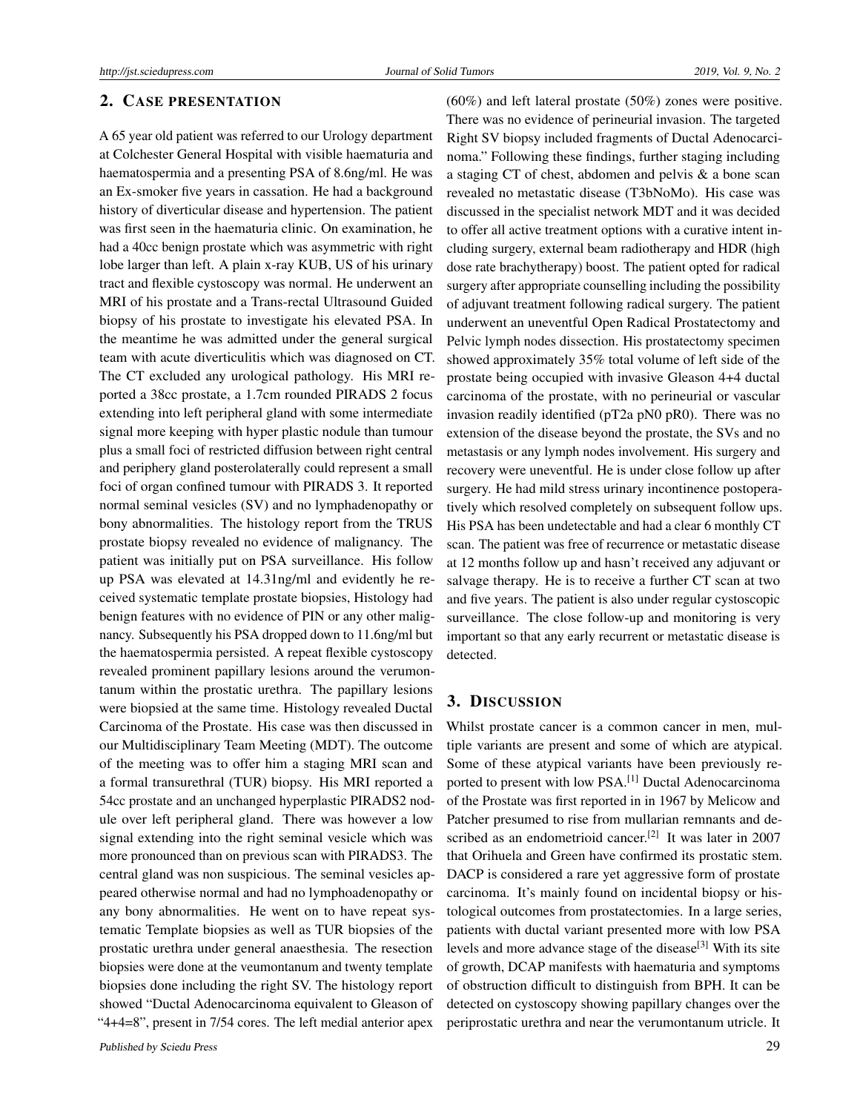## 2. CASE PRESENTATION

A 65 year old patient was referred to our Urology department at Colchester General Hospital with visible haematuria and haematospermia and a presenting PSA of 8.6ng/ml. He was an Ex-smoker five years in cassation. He had a background history of diverticular disease and hypertension. The patient was first seen in the haematuria clinic. On examination, he had a 40cc benign prostate which was asymmetric with right lobe larger than left. A plain x-ray KUB, US of his urinary tract and flexible cystoscopy was normal. He underwent an MRI of his prostate and a Trans-rectal Ultrasound Guided biopsy of his prostate to investigate his elevated PSA. In the meantime he was admitted under the general surgical team with acute diverticulitis which was diagnosed on CT. The CT excluded any urological pathology. His MRI reported a 38cc prostate, a 1.7cm rounded PIRADS 2 focus extending into left peripheral gland with some intermediate signal more keeping with hyper plastic nodule than tumour plus a small foci of restricted diffusion between right central and periphery gland posterolaterally could represent a small foci of organ confined tumour with PIRADS 3. It reported normal seminal vesicles (SV) and no lymphadenopathy or bony abnormalities. The histology report from the TRUS prostate biopsy revealed no evidence of malignancy. The patient was initially put on PSA surveillance. His follow up PSA was elevated at 14.31ng/ml and evidently he received systematic template prostate biopsies, Histology had benign features with no evidence of PIN or any other malignancy. Subsequently his PSA dropped down to 11.6ng/ml but the haematospermia persisted. A repeat flexible cystoscopy revealed prominent papillary lesions around the verumontanum within the prostatic urethra. The papillary lesions were biopsied at the same time. Histology revealed Ductal Carcinoma of the Prostate. His case was then discussed in our Multidisciplinary Team Meeting (MDT). The outcome of the meeting was to offer him a staging MRI scan and a formal transurethral (TUR) biopsy. His MRI reported a 54cc prostate and an unchanged hyperplastic PIRADS2 nodule over left peripheral gland. There was however a low signal extending into the right seminal vesicle which was more pronounced than on previous scan with PIRADS3. The central gland was non suspicious. The seminal vesicles appeared otherwise normal and had no lymphoadenopathy or any bony abnormalities. He went on to have repeat systematic Template biopsies as well as TUR biopsies of the prostatic urethra under general anaesthesia. The resection biopsies were done at the veumontanum and twenty template biopsies done including the right SV. The histology report showed "Ductal Adenocarcinoma equivalent to Gleason of "4+4=8", present in 7/54 cores. The left medial anterior apex

(60%) and left lateral prostate (50%) zones were positive. There was no evidence of perineurial invasion. The targeted Right SV biopsy included fragments of Ductal Adenocarcinoma." Following these findings, further staging including a staging CT of chest, abdomen and pelvis & a bone scan revealed no metastatic disease (T3bNoMo). His case was discussed in the specialist network MDT and it was decided to offer all active treatment options with a curative intent including surgery, external beam radiotherapy and HDR (high dose rate brachytherapy) boost. The patient opted for radical surgery after appropriate counselling including the possibility of adjuvant treatment following radical surgery. The patient underwent an uneventful Open Radical Prostatectomy and Pelvic lymph nodes dissection. His prostatectomy specimen showed approximately 35% total volume of left side of the prostate being occupied with invasive Gleason 4+4 ductal carcinoma of the prostate, with no perineurial or vascular invasion readily identified (pT2a pN0 pR0). There was no extension of the disease beyond the prostate, the SVs and no metastasis or any lymph nodes involvement. His surgery and recovery were uneventful. He is under close follow up after surgery. He had mild stress urinary incontinence postoperatively which resolved completely on subsequent follow ups. His PSA has been undetectable and had a clear 6 monthly CT scan. The patient was free of recurrence or metastatic disease at 12 months follow up and hasn't received any adjuvant or salvage therapy. He is to receive a further CT scan at two and five years. The patient is also under regular cystoscopic surveillance. The close follow-up and monitoring is very important so that any early recurrent or metastatic disease is detected.

## 3. DISCUSSION

Whilst prostate cancer is a common cancer in men, multiple variants are present and some of which are atypical. Some of these atypical variants have been previously reported to present with low PSA.[\[1\]](#page-3-0) Ductal Adenocarcinoma of the Prostate was first reported in in 1967 by Melicow and Patcher presumed to rise from mullarian remnants and de-scribed as an endometrioid cancer.<sup>[\[2\]](#page-3-1)</sup> It was later in 2007 that Orihuela and Green have confirmed its prostatic stem. DACP is considered a rare yet aggressive form of prostate carcinoma. It's mainly found on incidental biopsy or histological outcomes from prostatectomies. In a large series, patients with ductal variant presented more with low PSA levels and more advance stage of the disease<sup>[\[3\]](#page-3-2)</sup> With its site of growth, DCAP manifests with haematuria and symptoms of obstruction difficult to distinguish from BPH. It can be detected on cystoscopy showing papillary changes over the periprostatic urethra and near the verumontanum utricle. It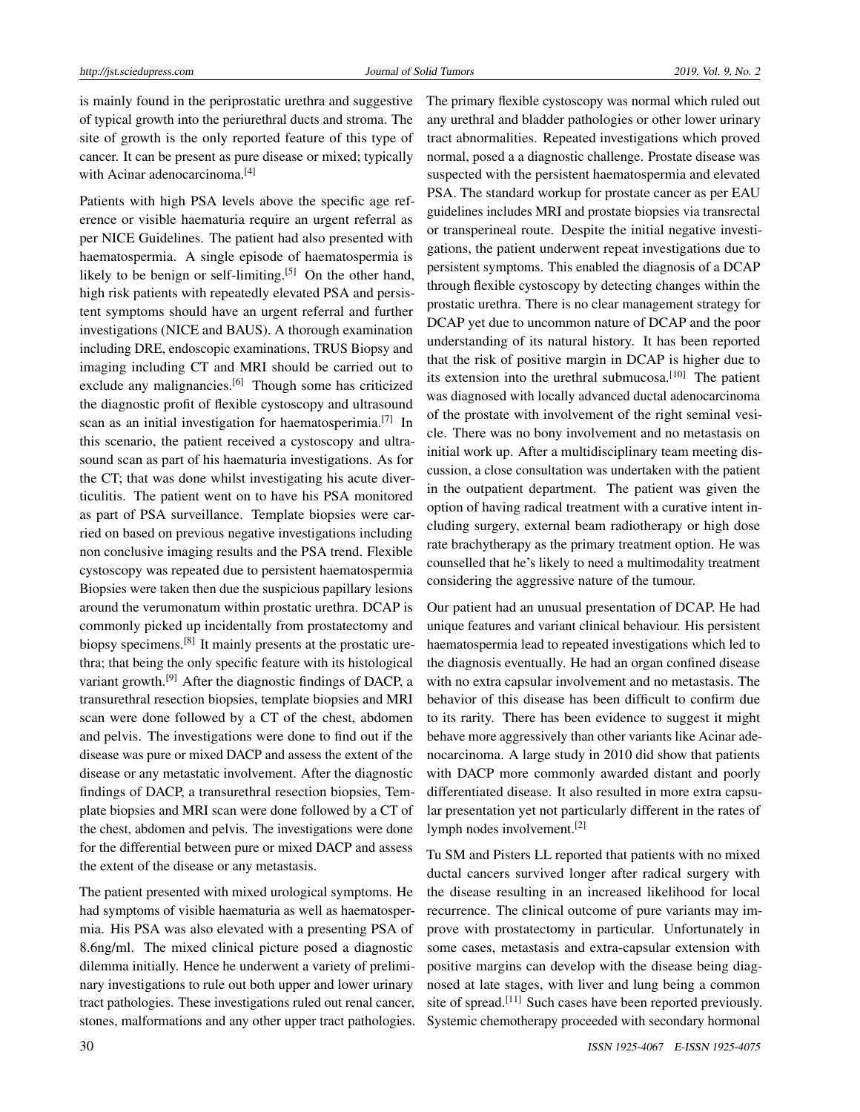is mainly found in the periprostatic urethra and suggestive of typical growth into the periurethral ducts and stroma. The site of growth is the only reported feature of this type of cancer. It can be present as pure disease or mixed; typically with Acinar adenocarcinoma.<sup>[\[4\]](#page-3-3)</sup>

Patients with high PSA levels above the specific age reference or visible haematuria require an urgent referral as per NICE Guidelines. The patient had also presented with haematospermia. A single episode of haematospermia is likely to be benign or self-limiting.<sup>[\[5\]](#page-3-4)</sup> On the other hand, high risk patients with repeatedly elevated PSA and persistent symptoms should have an urgent referral and further investigations (NICE and BAUS). A thorough examination including DRE, endoscopic examinations, TRUS Biopsy and imaging including CT and MRI should be carried out to exclude any malignancies.<sup>[\[6\]](#page-3-5)</sup> Though some has criticized the diagnostic profit of flexible cystoscopy and ultrasound scan as an initial investigation for haematosperimia.<sup>[\[7\]](#page-3-6)</sup> In this scenario, the patient received a cystoscopy and ultrasound scan as part of his haematuria investigations. As for the CT; that was done whilst investigating his acute diverticulitis. The patient went on to have his PSA monitored as part of PSA surveillance. Template biopsies were carried on based on previous negative investigations including non conclusive imaging results and the PSA trend. Flexible cystoscopy was repeated due to persistent haematospermia Biopsies were taken then due the suspicious papillary lesions around the verumonatum within prostatic urethra. DCAP is commonly picked up incidentally from prostatectomy and biopsy specimens.<sup>[\[8\]](#page-3-7)</sup> It mainly presents at the prostatic urethra; that being the only specific feature with its histological variant growth.[\[9\]](#page-3-8) After the diagnostic findings of DACP, a transurethral resection biopsies, template biopsies and MRI scan were done followed by a CT of the chest, abdomen and pelvis. The investigations were done to find out if the disease was pure or mixed DACP and assess the extent of the disease or any metastatic involvement. After the diagnostic findings of DACP, a transurethral resection biopsies, Template biopsies and MRI scan were done followed by a CT of the chest, abdomen and pelvis. The investigations were done for the differential between pure or mixed DACP and assess the extent of the disease or any metastasis.

The patient presented with mixed urological symptoms. He had symptoms of visible haematuria as well as haematospermia. His PSA was also elevated with a presenting PSA of 8.6ng/ml. The mixed clinical picture posed a diagnostic dilemma initially. Hence he underwent a variety of preliminary investigations to rule out both upper and lower urinary tract pathologies. These investigations ruled out renal cancer, stones, malformations and any other upper tract pathologies. The primary flexible cystoscopy was normal which ruled out any urethral and bladder pathologies or other lower urinary tract abnormalities. Repeated investigations which proved normal, posed a a diagnostic challenge. Prostate disease was suspected with the persistent haematospermia and elevated PSA. The standard workup for prostate cancer as per EAU guidelines includes MRI and prostate biopsies via transrectal or transperineal route. Despite the initial negative investigations, the patient underwent repeat investigations due to persistent symptoms. This enabled the diagnosis of a DCAP through flexible cystoscopy by detecting changes within the prostatic urethra. There is no clear management strategy for DCAP yet due to uncommon nature of DCAP and the poor understanding of its natural history. It has been reported that the risk of positive margin in DCAP is higher due to its extension into the urethral submucosa.<sup>[\[10\]](#page-3-9)</sup> The patient was diagnosed with locally advanced ductal adenocarcinoma of the prostate with involvement of the right seminal vesicle. There was no bony involvement and no metastasis on initial work up. After a multidisciplinary team meeting discussion, a close consultation was undertaken with the patient in the outpatient department. The patient was given the option of having radical treatment with a curative intent including surgery, external beam radiotherapy or high dose rate brachytherapy as the primary treatment option. He was counselled that he's likely to need a multimodality treatment considering the aggressive nature of the tumour.

Our patient had an unusual presentation of DCAP. He had unique features and variant clinical behaviour. His persistent haematospermia lead to repeated investigations which led to the diagnosis eventually. He had an organ confined disease with no extra capsular involvement and no metastasis. The behavior of this disease has been difficult to confirm due to its rarity. There has been evidence to suggest it might behave more aggressively than other variants like Acinar adenocarcinoma. A large study in 2010 did show that patients with DACP more commonly awarded distant and poorly differentiated disease. It also resulted in more extra capsular presentation yet not particularly different in the rates of lymph nodes involvement.<sup>[\[2\]](#page-3-1)</sup>

Tu SM and Pisters LL reported that patients with no mixed ductal cancers survived longer after radical surgery with the disease resulting in an increased likelihood for local recurrence. The clinical outcome of pure variants may improve with prostatectomy in particular. Unfortunately in some cases, metastasis and extra-capsular extension with positive margins can develop with the disease being diagnosed at late stages, with liver and lung being a common site of spread.[\[11\]](#page-3-10) Such cases have been reported previously. Systemic chemotherapy proceeded with secondary hormonal